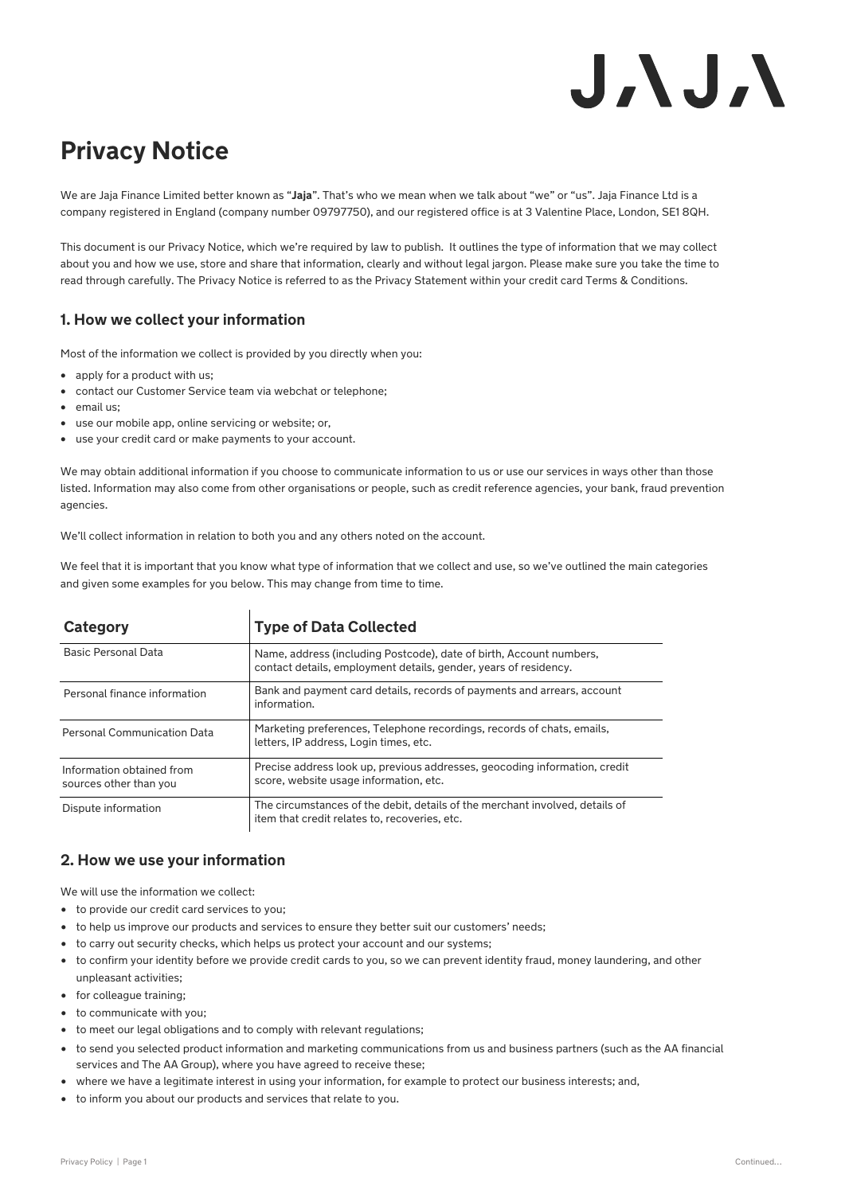# J. J. J. N

# **Privacy Notice**

We are Jaja Finance Limited better known as "**Jaja**". That's who we mean when we talk about "we" or "us". Jaja Finance Ltd is a company registered in England (company number 09797750), and our registered office is at 3 Valentine Place, London, SE1 8QH.

This document is our Privacy Notice, which we're required by law to publish. It outlines the type of information that we may collect about you and how we use, store and share that information, clearly and without legal jargon. Please make sure you take the time to read through carefully. The Privacy Notice is referred to as the Privacy Statement within your credit card Terms & Conditions.

# **1. How we collect your information**

Most of the information we collect is provided by you directly when you:

- apply for a product with us:
- contact our Customer Service team via webchat or telephone;
- email us;
- use our mobile app, online servicing or website; or,
- use your credit card or make payments to your account.

We may obtain additional information if you choose to communicate information to us or use our services in ways other than those listed. Information may also come from other organisations or people, such as credit reference agencies, your bank, fraud prevention agencies.

We'll collect information in relation to both you and any others noted on the account.

We feel that it is important that you know what type of information that we collect and use, so we've outlined the main categories and given some examples for you below. This may change from time to time.

| Category                                            | <b>Type of Data Collected</b>                                                                                                           |
|-----------------------------------------------------|-----------------------------------------------------------------------------------------------------------------------------------------|
| Basic Personal Data                                 | Name, address (including Postcode), date of birth, Account numbers,<br>contact details, employment details, gender, years of residency. |
| Personal finance information                        | Bank and payment card details, records of payments and arrears, account<br>information.                                                 |
| <b>Personal Communication Data</b>                  | Marketing preferences, Telephone recordings, records of chats, emails,<br>letters, IP address, Login times, etc.                        |
| Information obtained from<br>sources other than you | Precise address look up, previous addresses, geocoding information, credit<br>score, website usage information, etc.                    |
| Dispute information                                 | The circumstances of the debit, details of the merchant involved, details of<br>item that credit relates to, recoveries, etc.           |

# **2. How we use your information**

We will use the information we collect:

- to provide our credit card services to you;
- to help us improve our products and services to ensure they better suit our customers' needs;
- to carry out security checks, which helps us protect your account and our systems;
- to confirm your identity before we provide credit cards to you, so we can prevent identity fraud, money laundering, and other unpleasant activities;
- for colleague training;
- to communicate with you;
- to meet our legal obligations and to comply with relevant regulations;
- to send you selected product information and marketing communications from us and business partners (such as the AA financial services and The AA Group), where you have agreed to receive these;
- where we have a legitimate interest in using your information, for example to protect our business interests; and,
- to inform you about our products and services that relate to you.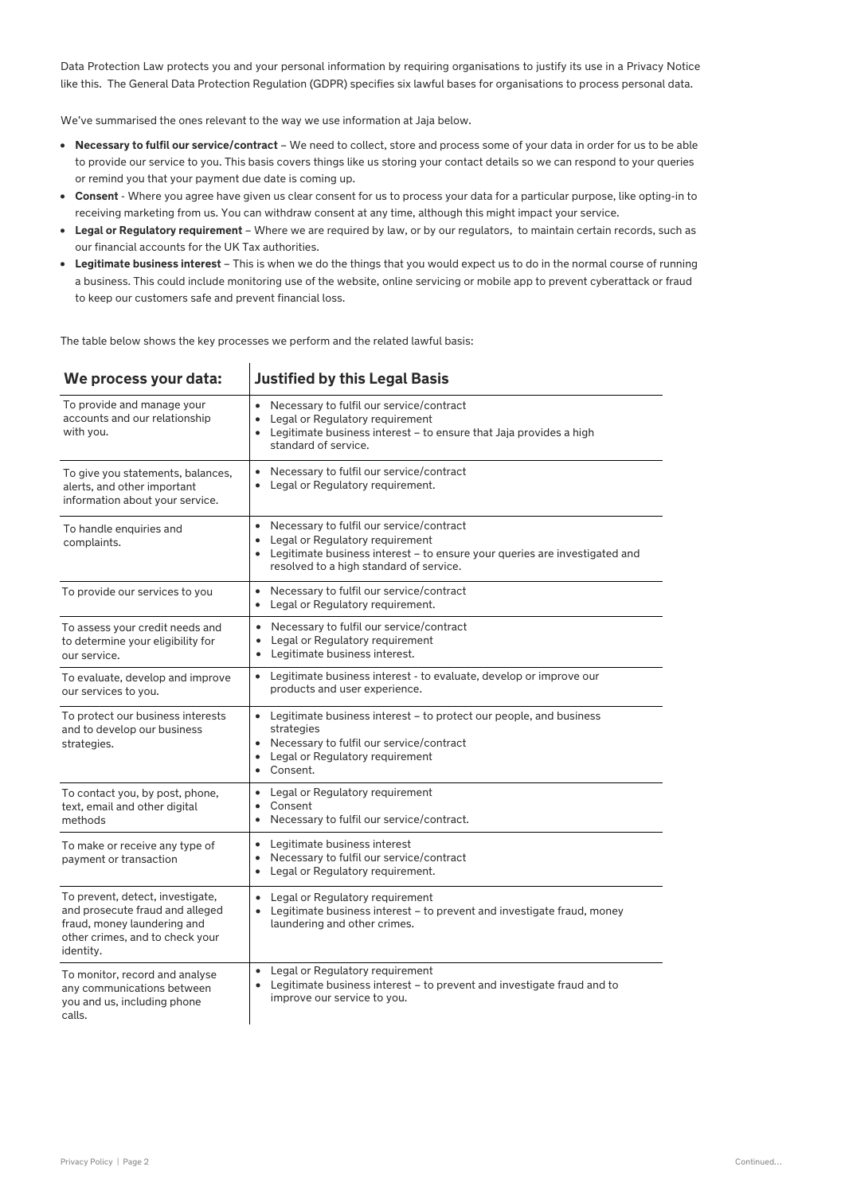Data Protection Law protects you and your personal information by requiring organisations to justify its use in a Privacy Notice like this. The General Data Protection Regulation (GDPR) specifies six lawful bases for organisations to process personal data.

We've summarised the ones relevant to the way we use information at Jaja below.

- **Necessary to fulfil our service/contract**  We need to collect, store and process some of your data in order for us to be able to provide our service to you. This basis covers things like us storing your contact details so we can respond to your queries or remind you that your payment due date is coming up.
- **Consent**  Where you agree have given us clear consent for us to process your data for a particular purpose, like opting-in to receiving marketing from us. You can withdraw consent at any time, although this might impact your service.
- **Legal or Regulatory requirement**  Where we are required by law, or by our regulators, to maintain certain records, such as our financial accounts for the UK Tax authorities.
- **Legitimate business interest**  This is when we do the things that you would expect us to do in the normal course of running a business. This could include monitoring use of the website, online servicing or mobile app to prevent cyberattack or fraud to keep our customers safe and prevent financial loss.

The table below shows the key processes we perform and the related lawful basis:

| We process your data:                                                                                                                              | <b>Justified by this Legal Basis</b>                                                                                                                                                                       |
|----------------------------------------------------------------------------------------------------------------------------------------------------|------------------------------------------------------------------------------------------------------------------------------------------------------------------------------------------------------------|
| To provide and manage your<br>accounts and our relationship<br>with you.                                                                           | • Necessary to fulfil our service/contract<br>• Legal or Regulatory requirement<br>• Legitimate business interest - to ensure that Jaja provides a high<br>standard of service.                            |
| To give you statements, balances,<br>alerts, and other important<br>information about your service.                                                | • Necessary to fulfil our service/contract<br>Legal or Regulatory requirement.<br>$\bullet$                                                                                                                |
| To handle enquiries and<br>complaints.                                                                                                             | • Necessary to fulfil our service/contract<br>• Legal or Regulatory requirement<br>• Legitimate business interest - to ensure your queries are investigated and<br>resolved to a high standard of service. |
| To provide our services to you                                                                                                                     | • Necessary to fulfil our service/contract<br>• Legal or Regulatory requirement.                                                                                                                           |
| To assess your credit needs and<br>to determine your eligibility for<br>our service.                                                               | Necessary to fulfil our service/contract<br>$\bullet$<br>• Legal or Regulatory requirement<br>• Legitimate business interest.                                                                              |
| To evaluate, develop and improve<br>our services to you.                                                                                           | • Legitimate business interest - to evaluate, develop or improve our<br>products and user experience.                                                                                                      |
| To protect our business interests<br>and to develop our business<br>strategies.                                                                    | • Legitimate business interest – to protect our people, and business<br>strategies<br>• Necessary to fulfil our service/contract<br>• Legal or Regulatory requirement<br>• Consent.                        |
| To contact you, by post, phone,<br>text, email and other digital<br>methods                                                                        | • Legal or Regulatory requirement<br>Consent<br>$\bullet$<br>Necessary to fulfil our service/contract.<br>$\bullet$                                                                                        |
| To make or receive any type of<br>payment or transaction                                                                                           | • Legitimate business interest<br>Necessary to fulfil our service/contract<br>٠<br>Legal or Regulatory requirement.<br>$\bullet$                                                                           |
| To prevent, detect, investigate,<br>and prosecute fraud and alleged<br>fraud, money laundering and<br>other crimes, and to check your<br>identity. | • Legal or Regulatory requirement<br>Legitimate business interest - to prevent and investigate fraud, money<br>laundering and other crimes.                                                                |
| To monitor, record and analyse<br>any communications between<br>you and us, including phone<br>calls.                                              | • Legal or Regulatory requirement<br>Legitimate business interest – to prevent and investigate fraud and to<br>$\bullet$<br>improve our service to you.                                                    |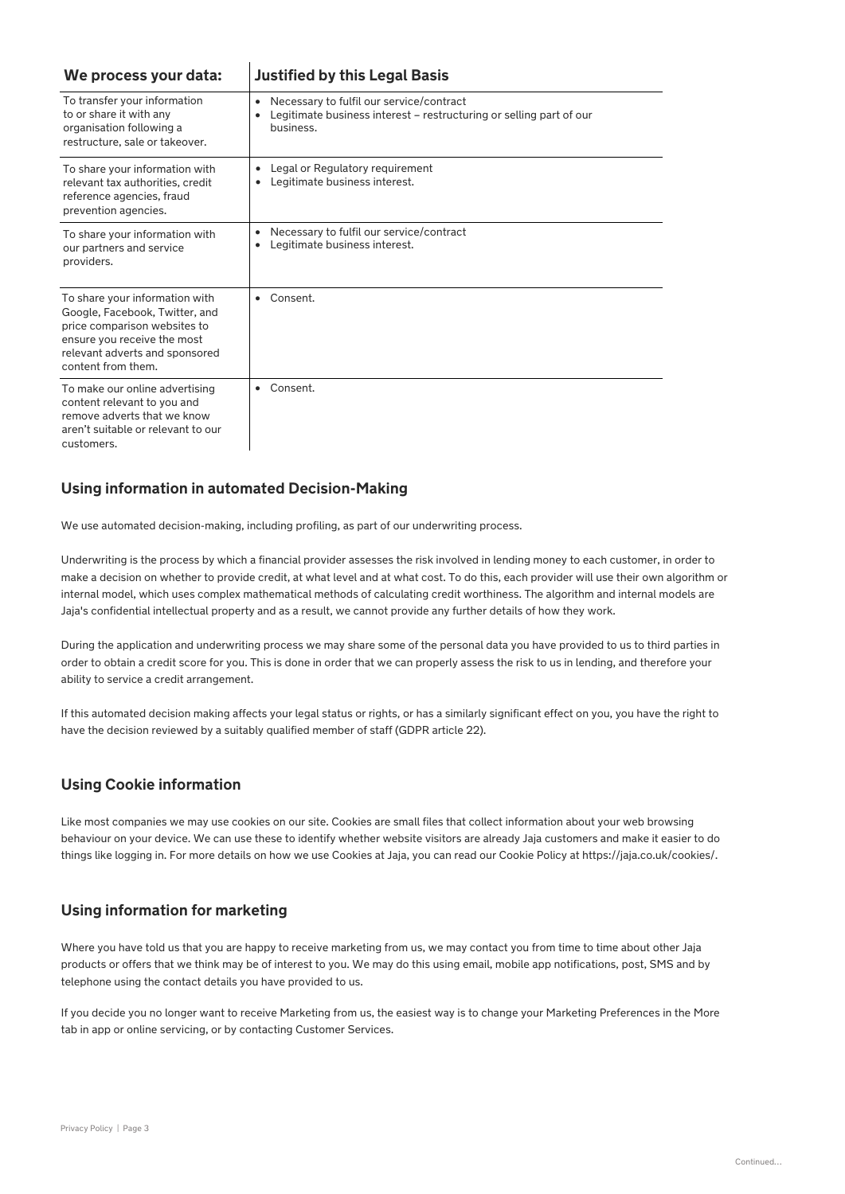| We process your data:                                                                                                                                                                   | <b>Justified by this Legal Basis</b>                                |
|-----------------------------------------------------------------------------------------------------------------------------------------------------------------------------------------|---------------------------------------------------------------------|
| To transfer your information                                                                                                                                                            | Necessary to fulfil our service/contract                            |
| to or share it with any                                                                                                                                                                 | ٠                                                                   |
| organisation following a                                                                                                                                                                | Legitimate business interest – restructuring or selling part of our |
| restructure, sale or takeover.                                                                                                                                                          | business.                                                           |
| To share your information with                                                                                                                                                          | Legal or Regulatory requirement                                     |
| relevant tax authorities, credit                                                                                                                                                        | ٠                                                                   |
| reference agencies, fraud                                                                                                                                                               | Legitimate business interest.                                       |
| prevention agencies.                                                                                                                                                                    | ٠                                                                   |
| To share your information with                                                                                                                                                          | Necessary to fulfil our service/contract                            |
| our partners and service                                                                                                                                                                | ٠                                                                   |
| providers.                                                                                                                                                                              | Legitimate business interest.                                       |
| To share your information with<br>Google, Facebook, Twitter, and<br>price comparison websites to<br>ensure you receive the most<br>relevant adverts and sponsored<br>content from them. | Consent.<br>$\bullet$                                               |
| To make our online advertising<br>content relevant to you and<br>remove adverts that we know<br>aren't suitable or relevant to our<br>customers.                                        | Consent.<br>$\bullet$                                               |

# **Using information in automated Decision-Making**

 $\overline{1}$ 

We use automated decision-making, including profiling, as part of our underwriting process.

Underwriting is the process by which a financial provider assesses the risk involved in lending money to each customer, in order to make a decision on whether to provide credit, at what level and at what cost. To do this, each provider will use their own algorithm or internal model, which uses complex mathematical methods of calculating credit worthiness. The algorithm and internal models are Jaja's confidential intellectual property and as a result, we cannot provide any further details of how they work.

During the application and underwriting process we may share some of the personal data you have provided to us to third parties in order to obtain a credit score for you. This is done in order that we can properly assess the risk to us in lending, and therefore your ability to service a credit arrangement.

If this automated decision making affects your legal status or rights, or has a similarly significant effect on you, you have the right to have the decision reviewed by a suitably qualified member of staff (GDPR article 22).

#### **Using Cookie information**

Like most companies we may use cookies on our site. Cookies are small files that collect information about your web browsing behaviour on your device. We can use these to identify whether website visitors are already Jaja customers and make it easier to do things like logging in. For more details on how we use Cookies at Jaja, you can read our Cookie Policy at https://jaja.co.uk/cookies/.

#### **Using information for marketing**

Where you have told us that you are happy to receive marketing from us, we may contact you from time to time about other Jaja products or offers that we think may be of interest to you. We may do this using email, mobile app notifications, post, SMS and by telephone using the contact details you have provided to us.

If you decide you no longer want to receive Marketing from us, the easiest way is to change your Marketing Preferences in the More tab in app or online servicing, or by contacting Customer Services.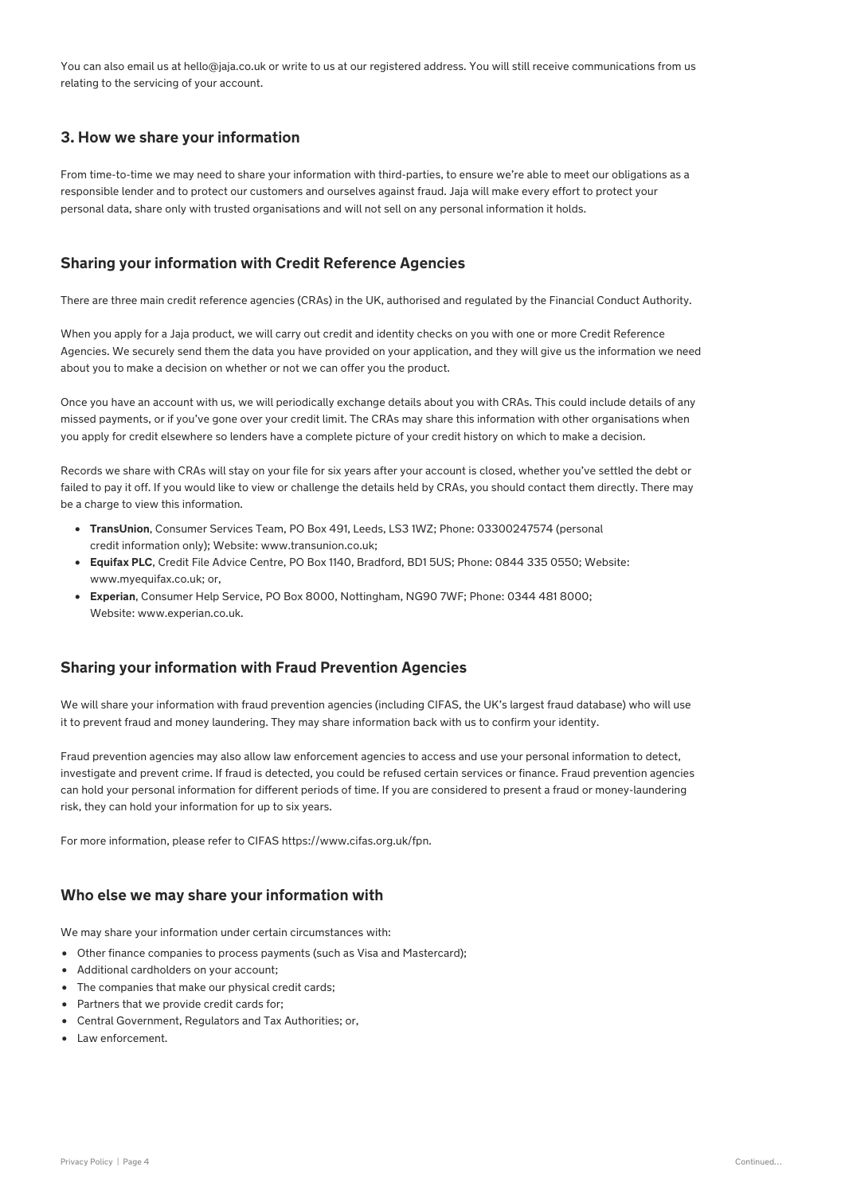You can also email us at hello@jaja.co.uk or write to us at our registered address. You will still receive communications from us relating to the servicing of your account.

#### **3. How we share your information**

From time-to-time we may need to share your information with third-parties, to ensure we're able to meet our obligations as a responsible lender and to protect our customers and ourselves against fraud. Jaja will make every effort to protect your personal data, share only with trusted organisations and will not sell on any personal information it holds.

#### **Sharing your information with Credit Reference Agencies**

There are three main credit reference agencies (CRAs) in the UK, authorised and regulated by the Financial Conduct Authority.

When you apply for a Jaja product, we will carry out credit and identity checks on you with one or more Credit Reference Agencies. We securely send them the data you have provided on your application, and they will give us the information we need about you to make a decision on whether or not we can offer you the product.

Once you have an account with us, we will periodically exchange details about you with CRAs. This could include details of any missed payments, or if you've gone over your credit limit. The CRAs may share this information with other organisations when you apply for credit elsewhere so lenders have a complete picture of your credit history on which to make a decision.

Records we share with CRAs will stay on your file for six years after your account is closed, whether you've settled the debt or failed to pay it off. If you would like to view or challenge the details held by CRAs, you should contact them directly. There may be a charge to view this information.

- **TransUnion**, Consumer Services Team, PO Box 491, Leeds, LS3 1WZ; Phone: 03300247574 (personal credit information only); Website: www.transunion.co.uk;
- **Equifax PLC**, Credit File Advice Centre, PO Box 1140, Bradford, BD1 5US; Phone: 0844 335 0550; Website: www.myequifax.co.uk; or,
- **Experian**, Consumer Help Service, PO Box 8000, Nottingham, NG90 7WF; Phone: 0344 481 8000; Website: www.experian.co.uk.

#### **Sharing your information with Fraud Prevention Agencies**

We will share your information with fraud prevention agencies (including CIFAS, the UK's largest fraud database) who will use it to prevent fraud and money laundering. They may share information back with us to confirm your identity.

Fraud prevention agencies may also allow law enforcement agencies to access and use your personal information to detect, investigate and prevent crime. If fraud is detected, you could be refused certain services or finance. Fraud prevention agencies can hold your personal information for different periods of time. If you are considered to present a fraud or money-laundering risk, they can hold your information for up to six years.

For more information, please refer to CIFAS https://www.cifas.org.uk/fpn.

#### **Who else we may share your information with**

We may share your information under certain circumstances with:

- Other finance companies to process payments (such as Visa and Mastercard);
- Additional cardholders on your account;
- The companies that make our physical credit cards;
- Partners that we provide credit cards for;
- Central Government, Regulators and Tax Authorities; or,
- Law enforcement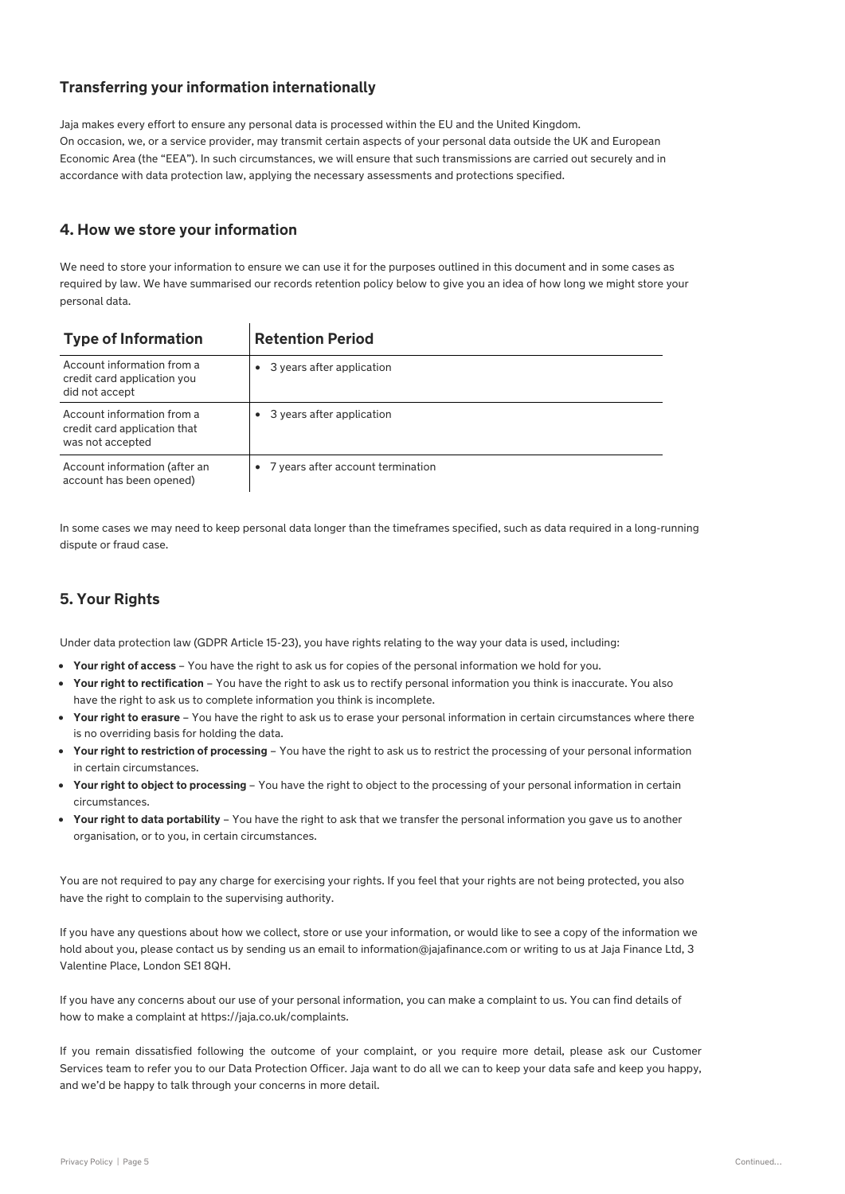### **Transferring your information internationally**

Jaja makes every effort to ensure any personal data is processed within the EU and the United Kingdom. On occasion, we, or a service provider, may transmit certain aspects of your personal data outside the UK and European Economic Area (the "EEA"). In such circumstances, we will ensure that such transmissions are carried out securely and in accordance with data protection law, applying the necessary assessments and protections specified.

#### **4. How we store your information**

We need to store your information to ensure we can use it for the purposes outlined in this document and in some cases as required by law. We have summarised our records retention policy below to give you an idea of how long we might store your personal data.

| <b>Type of Information</b>                                                     | <b>Retention Period</b>             |
|--------------------------------------------------------------------------------|-------------------------------------|
| Account information from a<br>credit card application you<br>did not accept    | 3 years after application<br>٠      |
| Account information from a<br>credit card application that<br>was not accepted | • 3 years after application         |
| Account information (after an<br>account has been opened)                      | • 7 years after account termination |

In some cases we may need to keep personal data longer than the timeframes specified, such as data required in a long-running dispute or fraud case.

# **5. Your Rights**

Under data protection law (GDPR Article 15-23), you have rights relating to the way your data is used, including:

- **Your right of access** You have the right to ask us for copies of the personal information we hold for you.
- **Your right to rectification** You have the right to ask us to rectify personal information you think is inaccurate. You also have the right to ask us to complete information you think is incomplete.
- **Your right to erasure**  You have the right to ask us to erase your personal information in certain circumstances where there is no overriding basis for holding the data.
- **Your right to restriction of processing** You have the right to ask us to restrict the processing of your personal information in certain circumstances.
- **Your right to object to processing**  You have the right to object to the processing of your personal information in certain circumstances.
- **Your right to data portability**  You have the right to ask that we transfer the personal information you gave us to another organisation, or to you, in certain circumstances.

You are not required to pay any charge for exercising your rights. If you feel that your rights are not being protected, you also have the right to complain to the supervising authority.

If you have any questions about how we collect, store or use your information, or would like to see a copy of the information we hold about you, please contact us by sending us an email to information@jajafinance.com or writing to us at Jaja Finance Ltd, 3 Valentine Place, London SE1 8QH.

If you have any concerns about our use of your personal information, you can make a complaint to us. You can find details of how to make a complaint at https://jaja.co.uk/complaints.

If you remain dissatisfied following the outcome of your complaint, or you require more detail, please ask our Customer Services team to refer you to our Data Protection Officer. Jaja want to do all we can to keep your data safe and keep you happy, and we'd be happy to talk through your concerns in more detail.